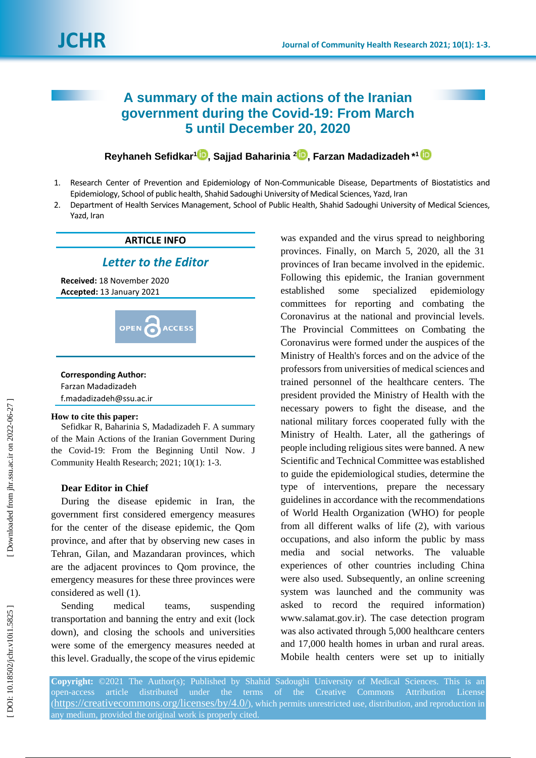# **A summary of the main actions of the Iranian government during the Covid -19: From March 5 until December 20, 2020**

**Reyhaneh Sefidkar 1 [,](https://orcid.org/0000-0003-2923-3556) Sajjad Baharinia 2 [,](https://orcid.org/0000-0001-7730-2187) Farzan Madadizadeh \* 1**

- 1 . Research Center of Prevention and Epidemiology of Non -Communicable Disease, Departments of Biostatistics and Epidemiology, School of public health, Shahid Sadoughi University of Medical Sciences, Yazd, Iran
- 2 . Department of Health Services Management, School of Public Health, Shahid Sadoughi University of Medical Sciences, Yazd, Iran

## **ARTICLE INFO**

## *Letter to the Editor*

**Received:** 18 November 2020 **Accepted:** 13 January 202 1



### **Corresponding Author:**

| Farzan Madadizadeh      |  |
|-------------------------|--|
| f.madadizadeh@ssu.ac.ir |  |

#### **How to cite this paper:**

Sefidkar R, Baharinia S, Madadizadeh F. A summary of the Main Actions of the Iranian Government During the Covid -19: From the Beginning Until Now. J Community Health Research; 2021; 10(1): 1-3.

## **Dear Editor in Chief**

During the disease epidemic in Iran, the government first considered emergency measures for the center of the disease epidemic, the Qom province, and after that by observing new cases in Tehran, Gilan, and Mazandaran provinces, which are the adjacent provinces to Qom province, the emergency measures for these three provinces were considered as well (1).

Sending medical teams, suspending transportation and banning the entry and exit (lock down), and closing the schools and universities were some of the emergency measures needed at this level. Gradually, the scope of the virus epidemic was expanded and the virus spread to neighboring provinces. Finally, on March 5, 2020, all the 31 provinces of Iran became involved in the epidemic. Following this epidemic, the Iranian government established some specialized epidemiology committees for reporting and combating the Coronavirus at the national and provincial levels. The Provincial Committees on Combating the Coronavirus were formed under the auspices of the Ministry of Health's forces and on the advice of the professors from universities of medical sciences and trained personnel of the healthcare centers. The president provided the Ministry of Health with the necessary powers to fight the disease, and the national military forces cooperated fully with the Ministry of Health. Later, all the gatherings of people including religious sites were banned. A new Scientific and Technical Committee was established to guide the epidemiological studies, determine the type of interventions, prepare the necessary guidelines in accordance with the recommendations of World Health Organization (WHO) for people from all different walks of life ( 2 ), with various occupations, and also inform the public by mass media and social networks. The valuable experiences of other countries including China were also used. Subsequently, an online screening system was launched and the community was asked to record the required information) www.salamat.gov.ir). The case detection program was also activated through 5,000 healthcare centers and 17,000 health homes in urban and rural areas. Mobile health centers were set up to initially

**Copyright:** ©202 1 The Author(s); Published by Shahid Sadoughi University of Medical Sciences. This is an open-access article distributed under the terms of the Creative Commons Attribution License (<https://creativecommons.org/licenses/by/4.0/>), which permits unrestricted use, distribution, and reproduction in any medium, provided the original work is properly cited.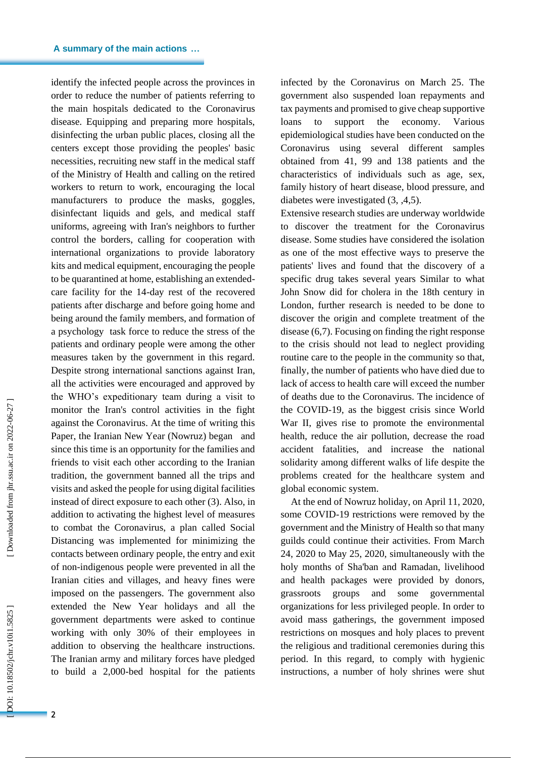identify the infected people across the provinces in order to reduce the number of patients referring to the main hospitals dedicated to the Coronavirus disease. Equipping and preparing more hospitals, disinfecting the urban public places, closing all the centers except those providing the peoples' basic necessities, recruiting new staff in the medical staff of the Ministry of Health and calling on the retired workers to return to work, encouraging the local manufacturers to produce the masks, goggles, disinfectant liquids and gels, and medical staff uniforms, agreeing with Iran's neighbors to further control the borders, calling for cooperation with international organizations to provide laboratory kits and medical equipment, encouraging the people to be quarantined at home, establishing an extended care facility for the 14 -day rest of the recovered patients after discharge and before going home and being around the family members, and formation of a psychology task force to reduce the stress of the patients and ordinary people were among the other measures taken by the government in this regard. Despite strong international sanctions against Iran, all the activities were encouraged and approved by the WHO's expeditionary team during a visit to monitor the Iran's control activities in the fight against the Coronavirus. At the time of writing this Paper, the Iranian New Year (Nowruz) began and since this time is an opportunity for the families and friends to visit each other according to the Iranian tradition, the government banned all the trips and visits and asked the people for using digital facilities instead of direct exposure to each other ( 3 ). Also, in addition to activating the highest level of measures to combat the Coronavirus, a plan called Social Distancing was implemented for minimizing the contacts between ordinary people, the entry and exit of non -indigenous people were prevented in all the Iranian cities and villages, and heavy fines were imposed on the passengers. The government also extended the New Year holidays and all the government departments were asked to continue working with only 30% of their employees in addition to observing the healthcare instructions. The Iranian army and military forces have pledged to build a 2,000 -bed hospital for the patients infected by the Coronavirus on March 25. The government also suspended loan repayments and tax payments and promised to give cheap supportive loans to support the economy. Various epidemiological studies have been conducted on the Coronavirus using several different samples obtained from 41, 99 and 138 patients and the characteristics of individuals such as age, sex, family history of heart disease, blood pressure, and diabetes were investigated  $(3, 4, 5)$ .

Extensive research studies are underway worldwide to discover the treatment for the Coronavirus disease. Some studies have considered the isolation as one of the most effective ways to preserve the patients' lives and found that the discovery of a specific drug takes several years Similar to what John Snow did for cholera in the 18th century in London, further research is needed to be done to discover the origin and complete treatment of the disease (6,7 ). Focusing on finding the right response to the crisis should not lead to neglect providing routine care to the people in the community so that, finally, the number of patients who have died due to lack of access to health care will exceed the number of deaths due to the Coronavirus. The incidence of the COVID -19, as the biggest crisis since World War II, gives rise to promote the environmental health, reduce the air pollution, decrease the road accident fatalities, and increase the national solidarity among different walks of life despite the problems created for the healthcare system and global economic system.

At the end of Nowruz holiday, on April 11, 2020, some COVID -19 restrictions were removed by the government and the Ministry of Health so that many guilds could continue their activities. From March 24, 2020 to May 25, 2020, simultaneously with the holy months of Sha'ban and Ramadan, livelihood and health packages were provided by donors, grassroots groups and some governmental organizations for less privileged people. In order to avoid mass gatherings, the government imposed restrictions on mosques and holy places to prevent the religious and traditional ceremonies during this period. In this regard, to comply with hygienic instructions, a number of holy shrines were shut